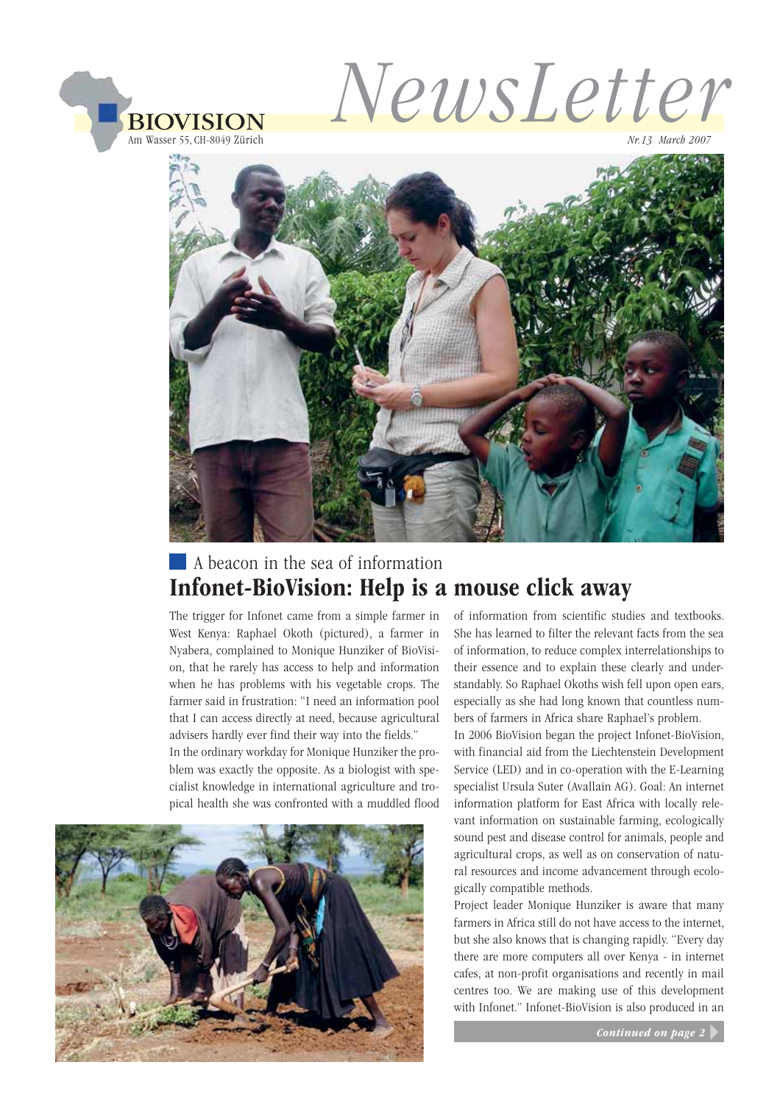

NewsLetter

Nr.13 March 2007



# A beacon in the sea of information

The trigger for Infonet came from a simple farmer in of information from scientific stud West Kenya: Raphael Okoth (pictured), a farmer in Nyabera, complained to Monique Hunziker of BioVision, that he rarely has access to help and information when he has problems with his vegetable crops. The farmer said in frustration: "I need an information pool that I can access directly at need, because agricultural advisers hardly ever find their way into the fields."

In the ordinary workday for Monique Hunziker the problem was exactly the opposite. As a biologist with specialist knowledge in international agriculture and tropical health she was confronted with a muddled flood



of information from scientific studies and textbooks. She has learned to filter the relevant facts from the sea of information, to reduce complex interrelationships to their essence and to explain these clearly and understandably. So Raphael Okoths wish fell upon open ears, especially as she had long known that countless numbers of farmers in Africa share Raphael's problem.

In 2006 BioVision began the project Infonet-BioVision, with financial aid from the Liechtenstein Development Service (LED) and in co-operation with the E-Learning specialist Ursula Suter (Avallain AG). Goal: An internet information platform for East Africa with locally relevant information on sustainable farming, ecologically sound pest and disease control for animals, people and agricultural crops, as well as on conservation of natural resources and income advancement through ecologically compatible methods.

Project leader Monique Hunziker is aware that many farmers in Africa still do not have access to the internet, but she also knows that is changing rapidly. "Every day there are more computers all over Kenya - in internet cafes, at non-profit organisations and recently in mail centres too. We are making use of this development with Infonet." Infonet-BioVision is also produced in an

Continued on page 2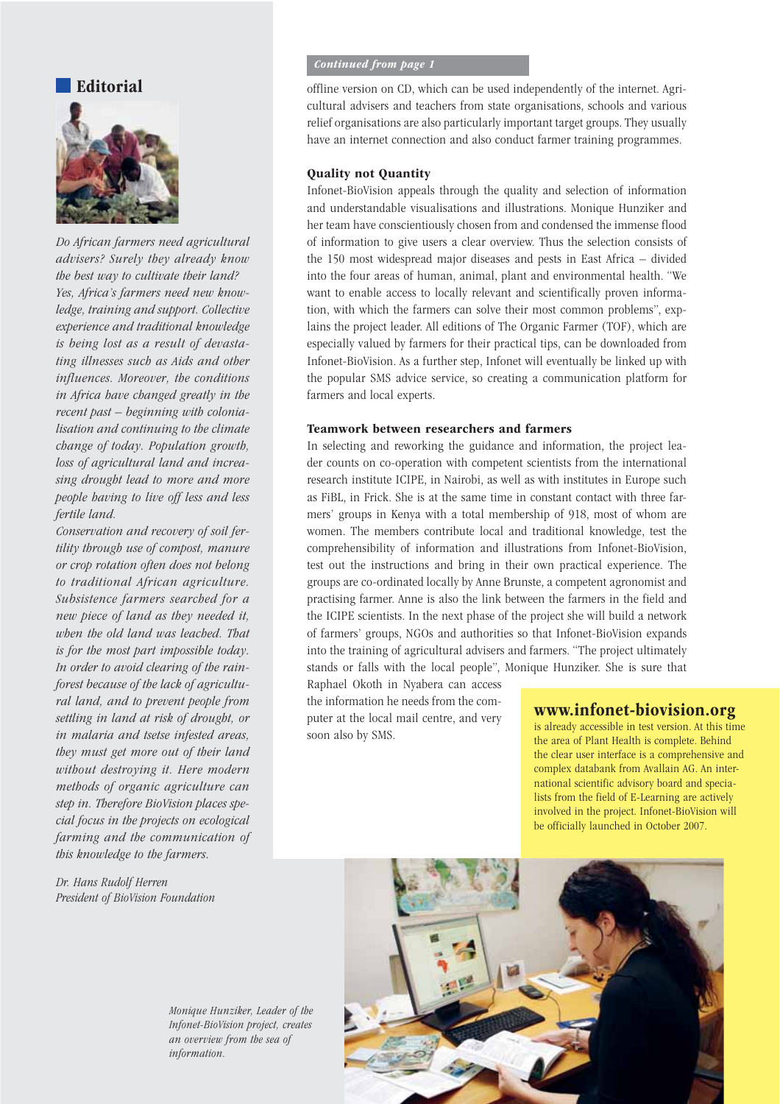### Editorial



Do African farmers need agricultural advisers? Surely they already know the best way to cultivate their land? Yes, Africa's farmers need new knowledge, training and support. Collective experience and traditional knowledge is being lost as a result of devastating illnesses such as Aids and other influences. Moreover, the conditions in Africa have changed greatly in the recent past – beginning with colonialisation and continuing to the climate change of today. Population growth, loss of agricultural land and increasing drought lead to more and more people having to live off less and less fertile land.

Conservation and recovery of soil fertility through use of compost, manure or crop rotation often does not belong to traditional African agriculture. Subsistence farmers searched for a new piece of land as they needed it, when the old land was leached. That is for the most part impossible today. In order to avoid clearing of the rainforest because of the lack of agricultural land, and to prevent people from settling in land at risk of drought, or in malaria and tsetse infested areas, they must get more out of their land without destroying it. Here modern methods of organic agriculture can step in. Therefore BioVision places special focus in the projects on ecological farming and the communication of this knowledge to the farmers.

Dr. Hans Rudolf Herren President of BioVision Foundation

### Continued from page 1

offline version on CD, which can be used independently of the internet. Agricultural advisers and teachers from state organisations, schools and various relief organisations are also particularly important target groups. They usually have an internet connection and also conduct farmer training programmes.

### Quality not Quantity

Infonet-BioVision appeals through the quality and selection of information and understandable visualisations and illustrations. Monique Hunziker and her team have conscientiously chosen from and condensed the immense flood of information to give users a clear overview. Thus the selection consists of the 150 most widespread major diseases and pests in East Africa – divided into the four areas of human, animal, plant and environmental health. "We want to enable access to locally relevant and scientifically proven information, with which the farmers can solve their most common problems", explains the project leader. All editions of The Organic Farmer (TOF), which are especially valued by farmers for their practical tips, can be downloaded from Infonet-BioVision. As a further step, Infonet will eventually be linked up with the popular SMS advice service, so creating a communication platform for farmers and local experts.

#### Teamwork between researchers and farmers

In selecting and reworking the guidance and information, the project leader counts on co-operation with competent scientists from the international research institute ICIPE, in Nairobi, as well as with institutes in Europe such as FiBL, in Frick. She is at the same time in constant contact with three farmers' groups in Kenya with a total membership of 918, most of whom are women. The members contribute local and traditional knowledge, test the comprehensibility of information and illustrations from Infonet-BioVision, test out the instructions and bring in their own practical experience. The groups are co-ordinated locally by Anne Brunste, a competent agronomist and practising farmer. Anne is also the link between the farmers in the field and the ICIPE scientists. In the next phase of the project she will build a network of farmers' groups, NGOs and authorities so that Infonet-BioVision expands into the training of agricultural advisers and farmers. "The project ultimately stands or falls with the local people", Monique Hunziker. She is sure that

Raphael Okoth in Nyabera can access the information he needs from the computer at the local mail centre, and very soon also by SMS.

### www.infonet-biovision.org

is already accessible in test version. At this time the area of Plant Health is complete. Behind the clear user interface is a comprehensive and complex databank from Avallain AG. An international scientific advisory board and specialists from the field of E-Learning are actively involved in the project. Infonet-BioVision will be officially launched in October 2007.



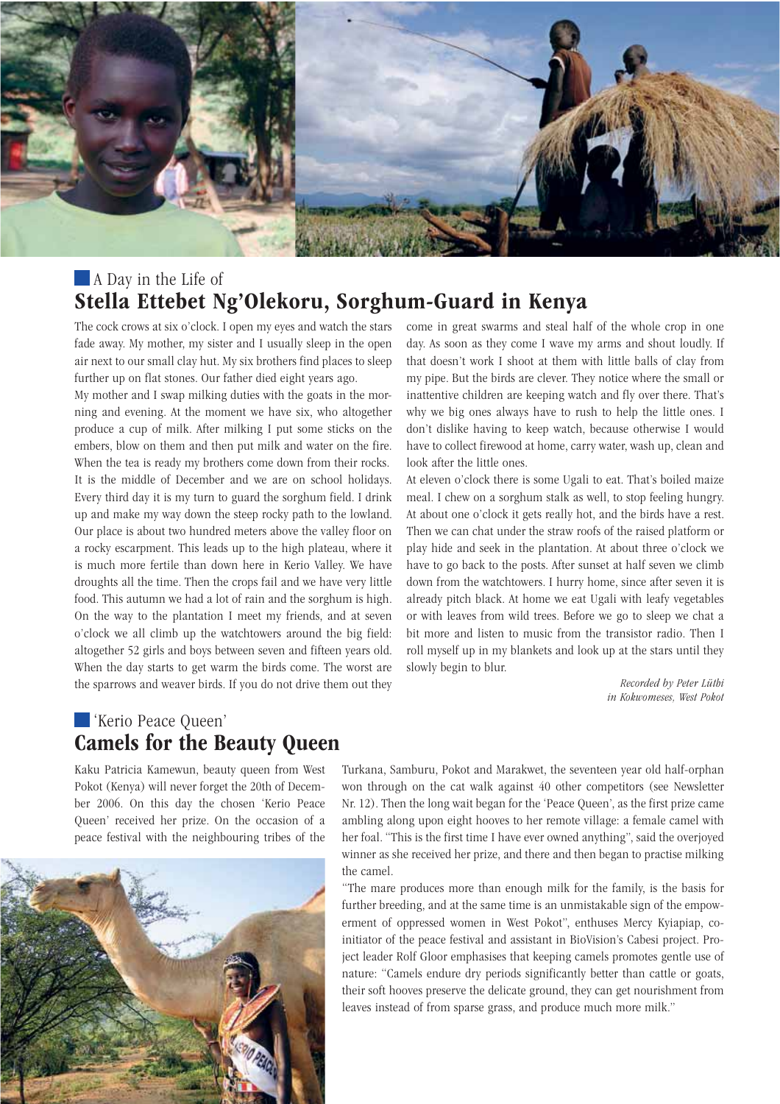

## A Day in the Life of Stella Ettebet Ng'Olekoru, Sorghum-Guard in Kenya

The cock crows at six o'clock. I open my eyes and watch the stars fade away. My mother, my sister and I usually sleep in the open air next to our small clay hut. My six brothers find places to sleep further up on flat stones. Our father died eight years ago.

My mother and I swap milking duties with the goats in the morning and evening. At the moment we have six, who altogether produce a cup of milk. After milking I put some sticks on the embers, blow on them and then put milk and water on the fire. When the tea is ready my brothers come down from their rocks. It is the middle of December and we are on school holidays. Every third day it is my turn to guard the sorghum field. I drink up and make my way down the steep rocky path to the lowland. Our place is about two hundred meters above the valley floor on a rocky escarpment. This leads up to the high plateau, where it is much more fertile than down here in Kerio Valley. We have droughts all the time. Then the crops fail and we have very little food. This autumn we had a lot of rain and the sorghum is high. On the way to the plantation I meet my friends, and at seven o'clock we all climb up the watchtowers around the big field: altogether 52 girls and boys between seven and fifteen years old. When the day starts to get warm the birds come. The worst are the sparrows and weaver birds. If you do not drive them out they come in great swarms and steal half of the whole crop in one day. As soon as they come I wave my arms and shout loudly. If that doesn't work I shoot at them with little balls of clay from my pipe. But the birds are clever. They notice where the small or inattentive children are keeping watch and fly over there. That's why we big ones always have to rush to help the little ones. I don't dislike having to keep watch, because otherwise I would have to collect firewood at home, carry water, wash up, clean and look after the little ones.

At eleven o'clock there is some Ugali to eat. That's boiled maize meal. I chew on a sorghum stalk as well, to stop feeling hungry. At about one o'clock it gets really hot, and the birds have a rest. Then we can chat under the straw roofs of the raised platform or play hide and seek in the plantation. At about three o'clock we have to go back to the posts. After sunset at half seven we climb down from the watchtowers. I hurry home, since after seven it is already pitch black. At home we eat Ugali with leafy vegetables or with leaves from wild trees. Before we go to sleep we chat a bit more and listen to music from the transistor radio. Then I roll myself up in my blankets and look up at the stars until they slowly begin to blur.

> Recorded by Peter Lüthi in Kokwomeses, West Pokot

# 'Kerio Peace Queen'

Kaku Patricia Kamewun, beauty queen from West Pokot (Kenya) will never forget the 20th of December 2006. On this day the chosen 'Kerio Peace Queen' received her prize. On the occasion of a peace festival with the neighbouring tribes of the



Turkana, Samburu, Pokot and Marakwet, the seventeen year old half-orphan won through on the cat walk against 40 other competitors (see Newsletter Nr. 12). Then the long wait began for the 'Peace Queen', as the first prize came ambling along upon eight hooves to her remote village: a female camel with her foal. "This is the first time I have ever owned anything", said the overjoyed winner as she received her prize, and there and then began to practise milking the camel.

"The mare produces more than enough milk for the family, is the basis for further breeding, and at the same time is an unmistakable sign of the empowerment of oppressed women in West Pokot", enthuses Mercy Kyiapiap, coinitiator of the peace festival and assistant in BioVision's Cabesi project. Project leader Rolf Gloor emphasises that keeping camels promotes gentle use of nature: "Camels endure dry periods significantly better than cattle or goats, their soft hooves preserve the delicate ground, they can get nourishment from leaves instead of from sparse grass, and produce much more milk."